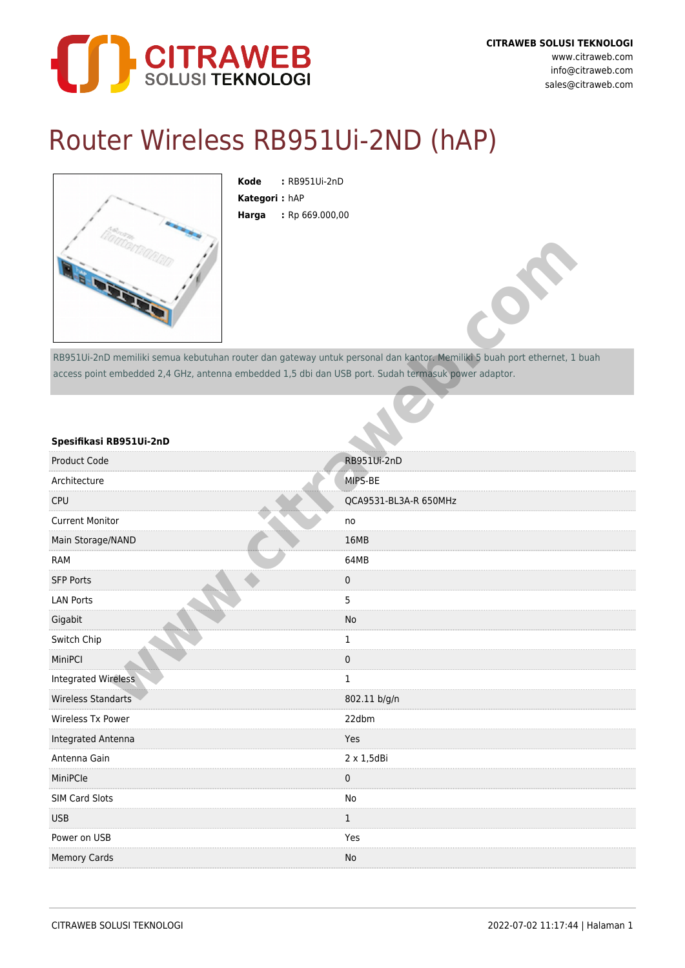

## Router Wireless RB951Ui-2ND (hAP)



**Kode :** RB951Ui-2nD **Kategori :** hAP **Harga :** Rp 669.000,00

## **Spesifikasi RB951Ui-2nD**

| <b>AS OFFICE</b>                                                                                                         |                       |
|--------------------------------------------------------------------------------------------------------------------------|-----------------------|
| RB951Ui-2nD memiliki semua kebutuhan router dan gateway untuk personal dan kantor. Memiliki 5 buah port ethernet, 1 buah |                       |
| access point embedded 2,4 GHz, antenna embedded 1,5 dbi dan USB port. Sudah termasuk power adaptor.                      |                       |
| Spesifikasi RB951Ui-2nD                                                                                                  |                       |
| <b>Product Code</b>                                                                                                      | RB951Ui-2nD           |
| Architecture                                                                                                             | MIPS-BE               |
| <b>CPU</b>                                                                                                               | QCA9531-BL3A-R 650MHz |
| <b>Current Monitor</b>                                                                                                   | no                    |
| Main Storage/NAND                                                                                                        | 16MB                  |
| <b>RAM</b>                                                                                                               | 64MB                  |
| <b>SFP Ports</b>                                                                                                         | 0                     |
| <b>LAN Ports</b>                                                                                                         | 5                     |
| Gigabit                                                                                                                  | No                    |
| Switch Chip                                                                                                              | 1                     |
| MiniPCI                                                                                                                  | 0                     |
| <b>Integrated Wireless</b>                                                                                               | 1                     |
| <b>Wireless Standarts</b>                                                                                                | 802.11 b/g/n          |
| Wireless Tx Power                                                                                                        | 22dbm                 |
| Integrated Antenna                                                                                                       | Yes                   |
| Antenna Gain                                                                                                             | $2 \times 1,5$ dBi    |
| MiniPCle                                                                                                                 | 0                     |
| SIM Card Slots                                                                                                           | No                    |
| <b>USB</b>                                                                                                               | 1                     |
| Power on USB                                                                                                             | Yes                   |
| <b>Memory Cards</b>                                                                                                      | No                    |